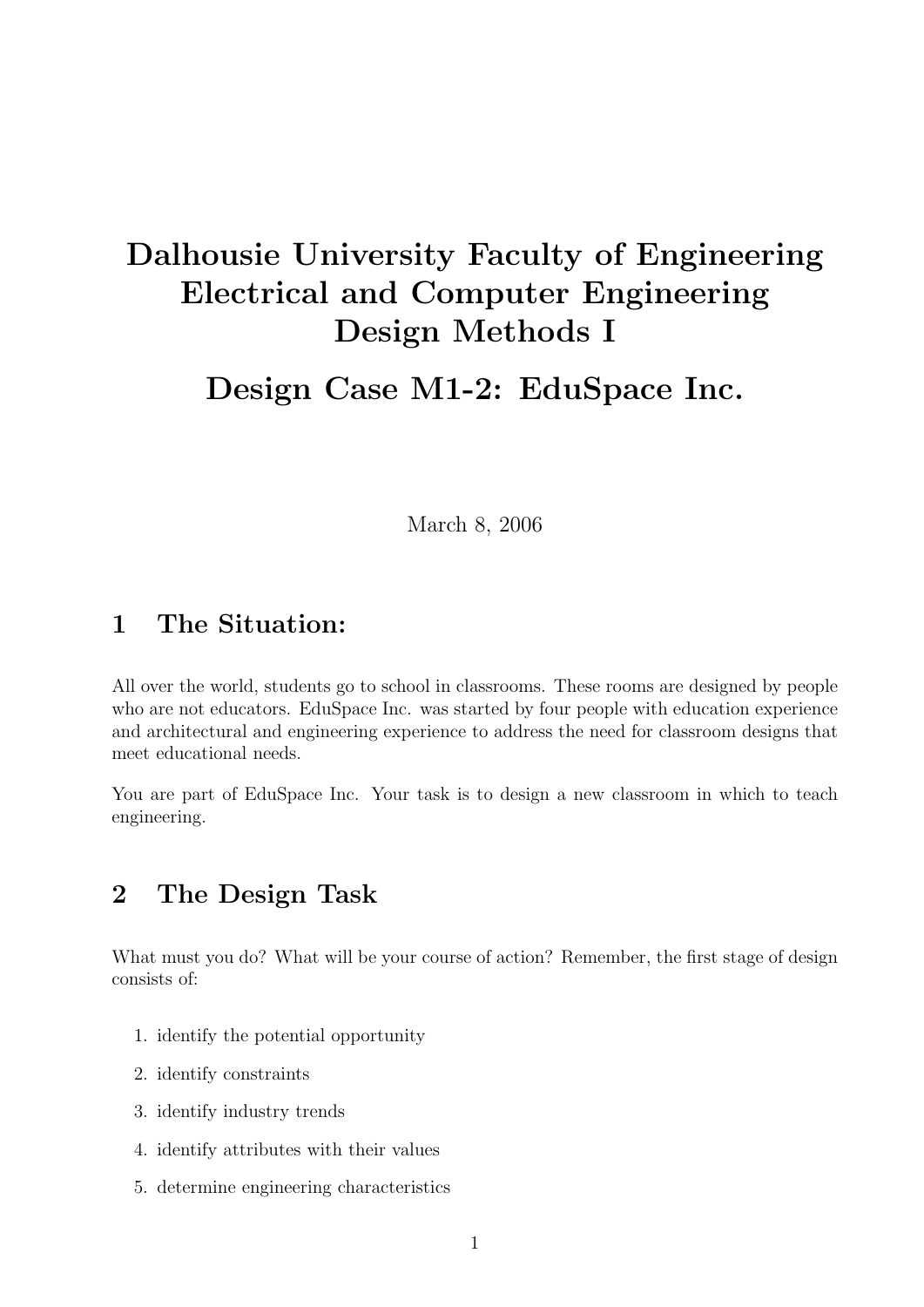# Dalhousie University Faculty of Engineering Electrical and Computer Engineering Design Methods I

Design Case M1-2: EduSpace Inc.

March 8, 2006

#### 1 The Situation:

All over the world, students go to school in classrooms. These rooms are designed by people who are not educators. EduSpace Inc. was started by four people with education experience and architectural and engineering experience to address the need for classroom designs that meet educational needs.

You are part of EduSpace Inc. Your task is to design a new classroom in which to teach engineering.

### 2 The Design Task

What must you do? What will be your course of action? Remember, the first stage of design consists of:

- 1. identify the potential opportunity
- 2. identify constraints
- 3. identify industry trends
- 4. identify attributes with their values
- 5. determine engineering characteristics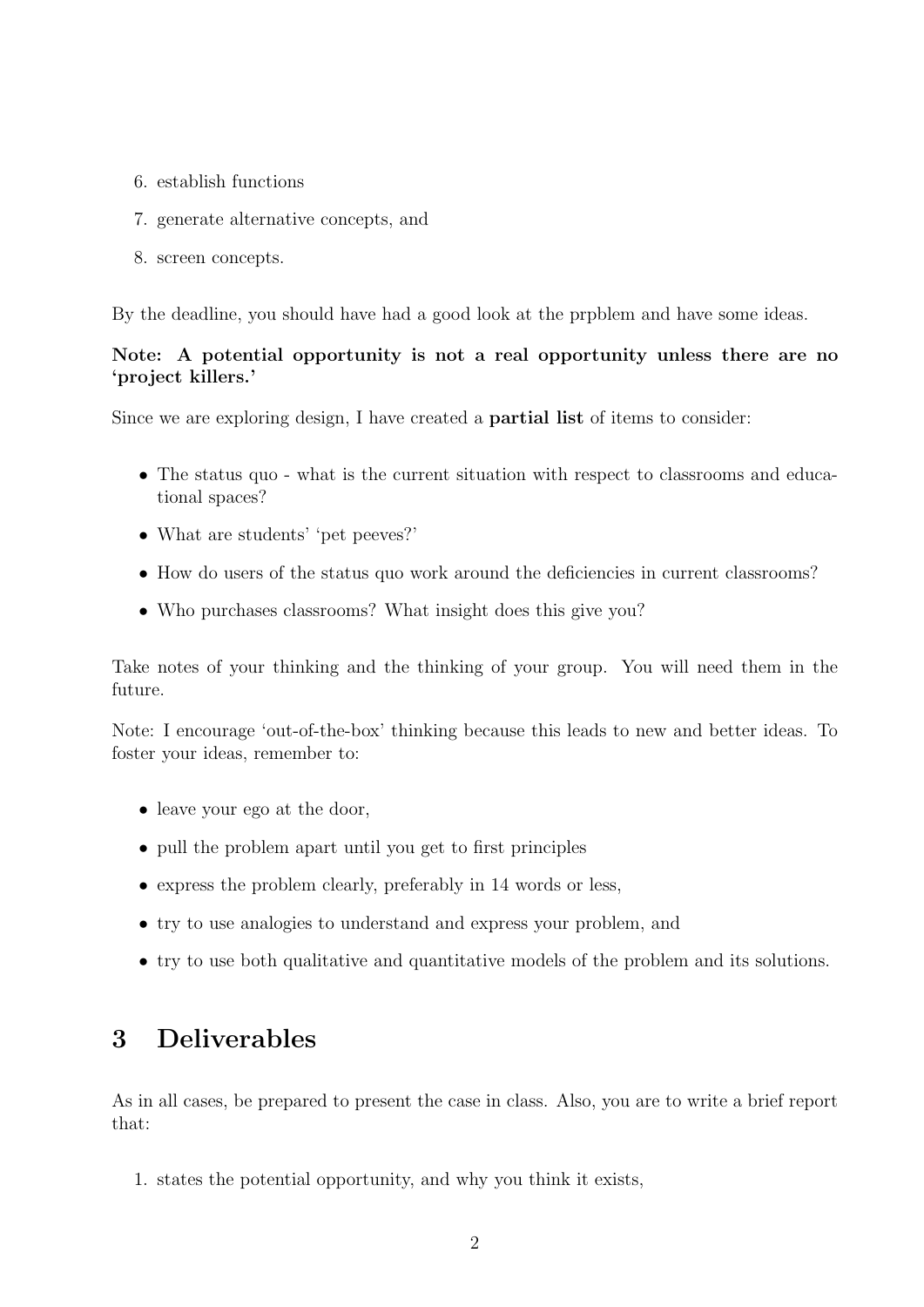- 6. establish functions
- 7. generate alternative concepts, and
- 8. screen concepts.

By the deadline, you should have had a good look at the prpblem and have some ideas.

#### Note: A potential opportunity is not a real opportunity unless there are no 'project killers.'

Since we are exploring design, I have created a partial list of items to consider:

- The status quo what is the current situation with respect to classrooms and educational spaces?
- What are students' 'pet peeves?'
- How do users of the status quo work around the deficiencies in current classrooms?
- Who purchases classrooms? What insight does this give you?

Take notes of your thinking and the thinking of your group. You will need them in the future.

Note: I encourage 'out-of-the-box' thinking because this leads to new and better ideas. To foster your ideas, remember to:

- leave your ego at the door,
- pull the problem apart until you get to first principles
- express the problem clearly, preferably in 14 words or less,
- try to use analogies to understand and express your problem, and
- try to use both qualitative and quantitative models of the problem and its solutions.

## 3 Deliverables

As in all cases, be prepared to present the case in class. Also, you are to write a brief report that:

1. states the potential opportunity, and why you think it exists,